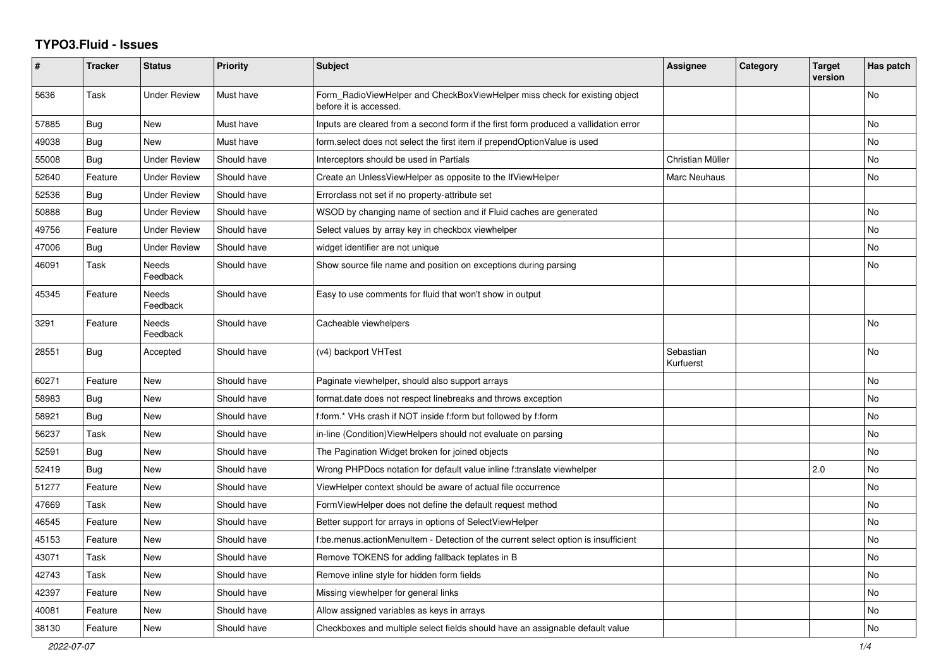## **TYPO3.Fluid - Issues**

| $\pmb{\#}$ | <b>Tracker</b> | <b>Status</b>       | <b>Priority</b> | Subject                                                                                              | Assignee               | Category | <b>Target</b><br>version | Has patch |
|------------|----------------|---------------------|-----------------|------------------------------------------------------------------------------------------------------|------------------------|----------|--------------------------|-----------|
| 5636       | Task           | <b>Under Review</b> | Must have       | Form_RadioViewHelper and CheckBoxViewHelper miss check for existing object<br>before it is accessed. |                        |          |                          | <b>No</b> |
| 57885      | Bug            | <b>New</b>          | Must have       | Inputs are cleared from a second form if the first form produced a vallidation error                 |                        |          |                          | No        |
| 49038      | Bug            | <b>New</b>          | Must have       | form.select does not select the first item if prependOptionValue is used                             |                        |          |                          | <b>No</b> |
| 55008      | Bug            | <b>Under Review</b> | Should have     | Interceptors should be used in Partials                                                              | Christian Müller       |          |                          | No        |
| 52640      | Feature        | <b>Under Review</b> | Should have     | Create an UnlessViewHelper as opposite to the IfViewHelper                                           | Marc Neuhaus           |          |                          | No        |
| 52536      | Bug            | <b>Under Review</b> | Should have     | Errorclass not set if no property-attribute set                                                      |                        |          |                          |           |
| 50888      | Bug            | <b>Under Review</b> | Should have     | WSOD by changing name of section and if Fluid caches are generated                                   |                        |          |                          | No        |
| 49756      | Feature        | <b>Under Review</b> | Should have     | Select values by array key in checkbox viewhelper                                                    |                        |          |                          | <b>No</b> |
| 47006      | <b>Bug</b>     | <b>Under Review</b> | Should have     | widget identifier are not unique                                                                     |                        |          |                          | <b>No</b> |
| 46091      | Task           | Needs<br>Feedback   | Should have     | Show source file name and position on exceptions during parsing                                      |                        |          |                          | No        |
| 45345      | Feature        | Needs<br>Feedback   | Should have     | Easy to use comments for fluid that won't show in output                                             |                        |          |                          |           |
| 3291       | Feature        | Needs<br>Feedback   | Should have     | Cacheable viewhelpers                                                                                |                        |          |                          | <b>No</b> |
| 28551      | Bug            | Accepted            | Should have     | (v4) backport VHTest                                                                                 | Sebastian<br>Kurfuerst |          |                          | <b>No</b> |
| 60271      | Feature        | <b>New</b>          | Should have     | Paginate viewhelper, should also support arrays                                                      |                        |          |                          | No        |
| 58983      | Bug            | New                 | Should have     | format.date does not respect linebreaks and throws exception                                         |                        |          |                          | No        |
| 58921      | Bug            | <b>New</b>          | Should have     | f:form.* VHs crash if NOT inside f:form but followed by f:form                                       |                        |          |                          | No        |
| 56237      | Task           | New                 | Should have     | in-line (Condition) ViewHelpers should not evaluate on parsing                                       |                        |          |                          | <b>No</b> |
| 52591      | Bug            | New                 | Should have     | The Pagination Widget broken for joined objects                                                      |                        |          |                          | No        |
| 52419      | Bug            | <b>New</b>          | Should have     | Wrong PHPDocs notation for default value inline f:translate viewhelper                               |                        |          | 2.0                      | No        |
| 51277      | Feature        | <b>New</b>          | Should have     | ViewHelper context should be aware of actual file occurrence                                         |                        |          |                          | <b>No</b> |
| 47669      | Task           | New                 | Should have     | FormViewHelper does not define the default request method                                            |                        |          |                          | <b>No</b> |
| 46545      | Feature        | New                 | Should have     | Better support for arrays in options of SelectViewHelper                                             |                        |          |                          | <b>No</b> |
| 45153      | Feature        | New                 | Should have     | f:be.menus.actionMenuItem - Detection of the current select option is insufficient                   |                        |          |                          | No        |
| 43071      | Task           | New                 | Should have     | Remove TOKENS for adding fallback teplates in B                                                      |                        |          |                          | No        |
| 42743      | Task           | <b>New</b>          | Should have     | Remove inline style for hidden form fields                                                           |                        |          |                          | No        |
| 42397      | Feature        | <b>New</b>          | Should have     | Missing viewhelper for general links                                                                 |                        |          |                          | No        |
| 40081      | Feature        | New                 | Should have     | Allow assigned variables as keys in arrays                                                           |                        |          |                          | No        |
| 38130      | Feature        | New                 | Should have     | Checkboxes and multiple select fields should have an assignable default value                        |                        |          |                          | No        |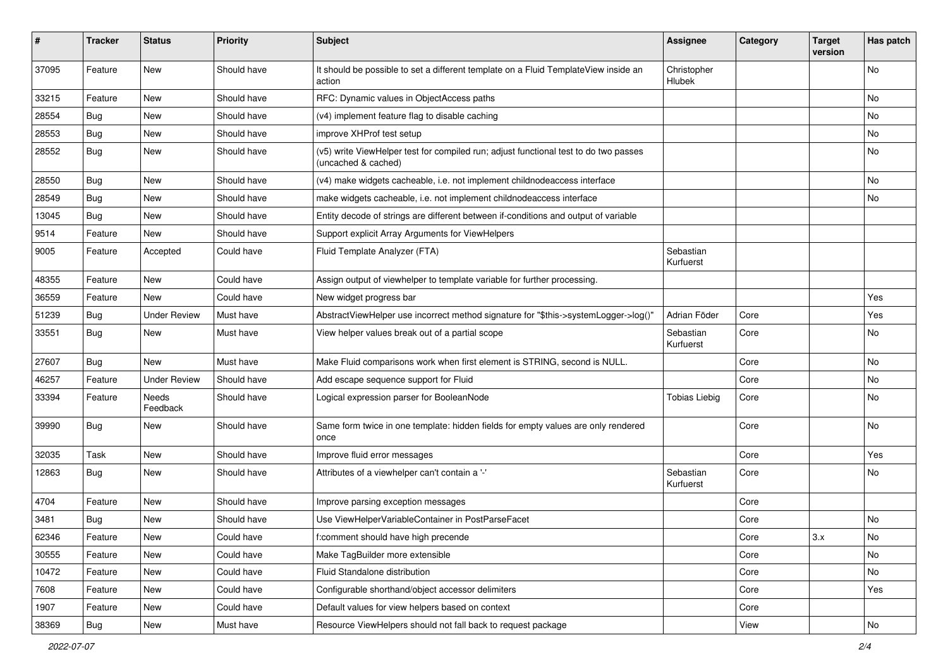| ∦     | <b>Tracker</b> | <b>Status</b>       | <b>Priority</b> | <b>Subject</b>                                                                                              | <b>Assignee</b>        | Category | <b>Target</b><br>version | Has patch |
|-------|----------------|---------------------|-----------------|-------------------------------------------------------------------------------------------------------------|------------------------|----------|--------------------------|-----------|
| 37095 | Feature        | New                 | Should have     | It should be possible to set a different template on a Fluid TemplateView inside an<br>action               | Christopher<br>Hlubek  |          |                          | No        |
| 33215 | Feature        | New                 | Should have     | RFC: Dynamic values in ObjectAccess paths                                                                   |                        |          |                          | No        |
| 28554 | Bug            | New                 | Should have     | (v4) implement feature flag to disable caching                                                              |                        |          |                          | No        |
| 28553 | Bug            | New                 | Should have     | improve XHProf test setup                                                                                   |                        |          |                          | No        |
| 28552 | Bug            | New                 | Should have     | (v5) write ViewHelper test for compiled run; adjust functional test to do two passes<br>(uncached & cached) |                        |          |                          | No        |
| 28550 | Bug            | New                 | Should have     | (v4) make widgets cacheable, i.e. not implement childnodeaccess interface                                   |                        |          |                          | No        |
| 28549 | Bug            | New                 | Should have     | make widgets cacheable, i.e. not implement childnodeaccess interface                                        |                        |          |                          | No        |
| 13045 | Bug            | New                 | Should have     | Entity decode of strings are different between if-conditions and output of variable                         |                        |          |                          |           |
| 9514  | Feature        | New                 | Should have     | Support explicit Array Arguments for ViewHelpers                                                            |                        |          |                          |           |
| 9005  | Feature        | Accepted            | Could have      | Fluid Template Analyzer (FTA)                                                                               | Sebastian<br>Kurfuerst |          |                          |           |
| 48355 | Feature        | <b>New</b>          | Could have      | Assign output of viewhelper to template variable for further processing.                                    |                        |          |                          |           |
| 36559 | Feature        | New                 | Could have      | New widget progress bar                                                                                     |                        |          |                          | Yes       |
| 51239 | Bug            | <b>Under Review</b> | Must have       | AbstractViewHelper use incorrect method signature for "\$this->systemLogger->log()"                         | Adrian Föder           | Core     |                          | Yes       |
| 33551 | Bug            | New                 | Must have       | View helper values break out of a partial scope                                                             | Sebastian<br>Kurfuerst | Core     |                          | No        |
| 27607 | Bug            | <b>New</b>          | Must have       | Make Fluid comparisons work when first element is STRING, second is NULL.                                   |                        | Core     |                          | No        |
| 46257 | Feature        | <b>Under Review</b> | Should have     | Add escape sequence support for Fluid                                                                       |                        | Core     |                          | No.       |
| 33394 | Feature        | Needs<br>Feedback   | Should have     | Logical expression parser for BooleanNode                                                                   | <b>Tobias Liebig</b>   | Core     |                          | No        |
| 39990 | Bug            | New                 | Should have     | Same form twice in one template: hidden fields for empty values are only rendered<br>once                   |                        | Core     |                          | No        |
| 32035 | Task           | New                 | Should have     | Improve fluid error messages                                                                                |                        | Core     |                          | Yes       |
| 12863 | Bug            | New                 | Should have     | Attributes of a viewhelper can't contain a '-'                                                              | Sebastian<br>Kurfuerst | Core     |                          | No        |
| 4704  | Feature        | New                 | Should have     | Improve parsing exception messages                                                                          |                        | Core     |                          |           |
| 3481  | <b>Bug</b>     | New                 | Should have     | Use ViewHelperVariableContainer in PostParseFacet                                                           |                        | Core     |                          | No        |
| 62346 | Feature        | New                 | Could have      | f:comment should have high precende                                                                         |                        | Core     | 3.x                      | No        |
| 30555 | Feature        | New                 | Could have      | Make TagBuilder more extensible                                                                             |                        | Core     |                          | No        |
| 10472 | Feature        | New                 | Could have      | Fluid Standalone distribution                                                                               |                        | Core     |                          | No        |
| 7608  | Feature        | New                 | Could have      | Configurable shorthand/object accessor delimiters                                                           |                        | Core     |                          | Yes       |
| 1907  | Feature        | New                 | Could have      | Default values for view helpers based on context                                                            |                        | Core     |                          |           |
| 38369 | Bug            | New                 | Must have       | Resource ViewHelpers should not fall back to request package                                                |                        | View     |                          | No        |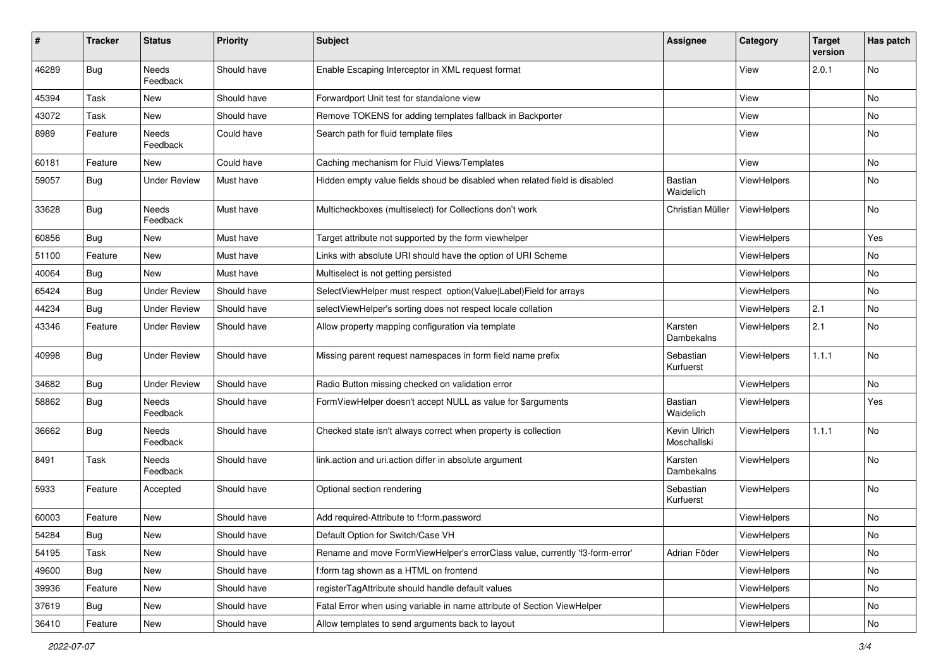| #     | <b>Tracker</b> | <b>Status</b>       | <b>Priority</b> | Subject                                                                      | <b>Assignee</b>             | Category           | <b>Target</b><br>version | Has patch     |
|-------|----------------|---------------------|-----------------|------------------------------------------------------------------------------|-----------------------------|--------------------|--------------------------|---------------|
| 46289 | Bug            | Needs<br>Feedback   | Should have     | Enable Escaping Interceptor in XML request format                            |                             | View               | 2.0.1                    | No            |
| 45394 | Task           | New                 | Should have     | Forwardport Unit test for standalone view                                    |                             | View               |                          | No            |
| 43072 | Task           | New                 | Should have     | Remove TOKENS for adding templates fallback in Backporter                    |                             | View               |                          | No            |
| 8989  | Feature        | Needs<br>Feedback   | Could have      | Search path for fluid template files                                         |                             | View               |                          | No            |
| 60181 | Feature        | New                 | Could have      | Caching mechanism for Fluid Views/Templates                                  |                             | View               |                          | No            |
| 59057 | Bug            | <b>Under Review</b> | Must have       | Hidden empty value fields shoud be disabled when related field is disabled   | <b>Bastian</b><br>Waidelich | ViewHelpers        |                          | No            |
| 33628 | Bug            | Needs<br>Feedback   | Must have       | Multicheckboxes (multiselect) for Collections don't work                     | Christian Müller            | <b>ViewHelpers</b> |                          | No            |
| 60856 | Bug            | New                 | Must have       | Target attribute not supported by the form viewhelper                        |                             | ViewHelpers        |                          | Yes           |
| 51100 | Feature        | New                 | Must have       | Links with absolute URI should have the option of URI Scheme                 |                             | ViewHelpers        |                          | No            |
| 40064 | Bug            | New                 | Must have       | Multiselect is not getting persisted                                         |                             | ViewHelpers        |                          | No            |
| 65424 | Bug            | <b>Under Review</b> | Should have     | SelectViewHelper must respect option(Value Label)Field for arrays            |                             | ViewHelpers        |                          | No            |
| 44234 | Bug            | <b>Under Review</b> | Should have     | selectViewHelper's sorting does not respect locale collation                 |                             | <b>ViewHelpers</b> | 2.1                      | No            |
| 43346 | Feature        | <b>Under Review</b> | Should have     | Allow property mapping configuration via template                            | Karsten<br>Dambekalns       | ViewHelpers        | 2.1                      | No            |
| 40998 | Bug            | <b>Under Review</b> | Should have     | Missing parent request namespaces in form field name prefix                  | Sebastian<br>Kurfuerst      | ViewHelpers        | 1.1.1                    | No            |
| 34682 | Bug            | <b>Under Review</b> | Should have     | Radio Button missing checked on validation error                             |                             | ViewHelpers        |                          | No            |
| 58862 | Bug            | Needs<br>Feedback   | Should have     | FormViewHelper doesn't accept NULL as value for \$arguments                  | <b>Bastian</b><br>Waidelich | ViewHelpers        |                          | Yes           |
| 36662 | Bug            | Needs<br>Feedback   | Should have     | Checked state isn't always correct when property is collection               | Kevin Ulrich<br>Moschallski | ViewHelpers        | 1.1.1                    | No            |
| 8491  | Task           | Needs<br>Feedback   | Should have     | link.action and uri.action differ in absolute argument                       | Karsten<br>Dambekalns       | ViewHelpers        |                          | No            |
| 5933  | Feature        | Accepted            | Should have     | Optional section rendering                                                   | Sebastian<br>Kurfuerst      | ViewHelpers        |                          | No            |
| 60003 | Feature        | New                 | Should have     | Add required-Attribute to f:form.password                                    |                             | ViewHelpers        |                          | No            |
| 54284 | Bug            | New                 | Should have     | Default Option for Switch/Case VH                                            |                             | ViewHelpers        |                          | $\mathsf{No}$ |
| 54195 | Task           | New                 | Should have     | Rename and move FormViewHelper's errorClass value, currently 'f3-form-error' | Adrian Föder                | ViewHelpers        |                          | No            |
| 49600 | Bug            | New                 | Should have     | f:form tag shown as a HTML on frontend                                       |                             | ViewHelpers        |                          | No            |
| 39936 | Feature        | New                 | Should have     | registerTagAttribute should handle default values                            |                             | ViewHelpers        |                          | No            |
| 37619 | Bug            | New                 | Should have     | Fatal Error when using variable in name attribute of Section ViewHelper      |                             | ViewHelpers        |                          | No            |
| 36410 | Feature        | New                 | Should have     | Allow templates to send arguments back to layout                             |                             | ViewHelpers        |                          | $\mathsf{No}$ |